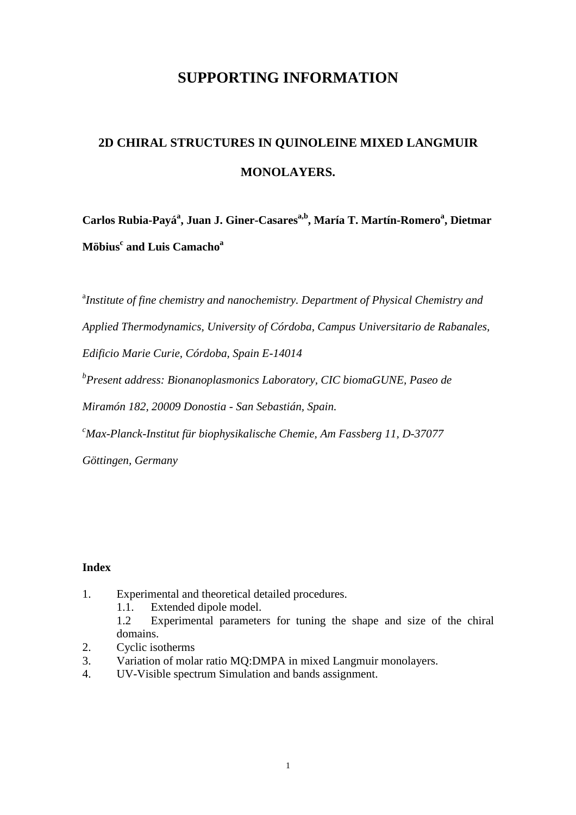## **SUPPORTING INFORMATION**

# **2D CHIRAL STRUCTURES IN QUINOLEINE MIXED LANGMUIR MONOLAYERS.**

**Carlos Rubia-Payá<sup>a</sup> , Juan J. Giner-Casaresa,b, María T. Martín-Romero<sup>a</sup> , Dietmar Möbius<sup>c</sup> and Luis Camacho<sup>a</sup>** 

<sup>a</sup>Institute of fine chemistry and nanochemistry. Department of Physical Chemistry and *Applied Thermodynamics, University of Córdoba, Campus Universitario de Rabanales, Edificio Marie Curie, Córdoba, Spain E-14014* 

*b Present address: Bionanoplasmonics Laboratory, CIC biomaGUNE, Paseo de* 

*Miramón 182, 20009 Donostia - San Sebastián, Spain.*

*<sup>c</sup>Max-Planck-Institut für biophysikalische Chemie, Am Fassberg 11, D-37077* 

*Göttingen, Germany* 

## **Index**

- 1. Experimental and theoretical detailed procedures.
	- 1.1. Extended dipole model.

1.2 Experimental parameters for tuning the shape and size of the chiral domains.

- 2. Cyclic isotherms
- 3. Variation of molar ratio MQ:DMPA in mixed Langmuir monolayers.
- 4. UV-Visible spectrum Simulation and bands assignment.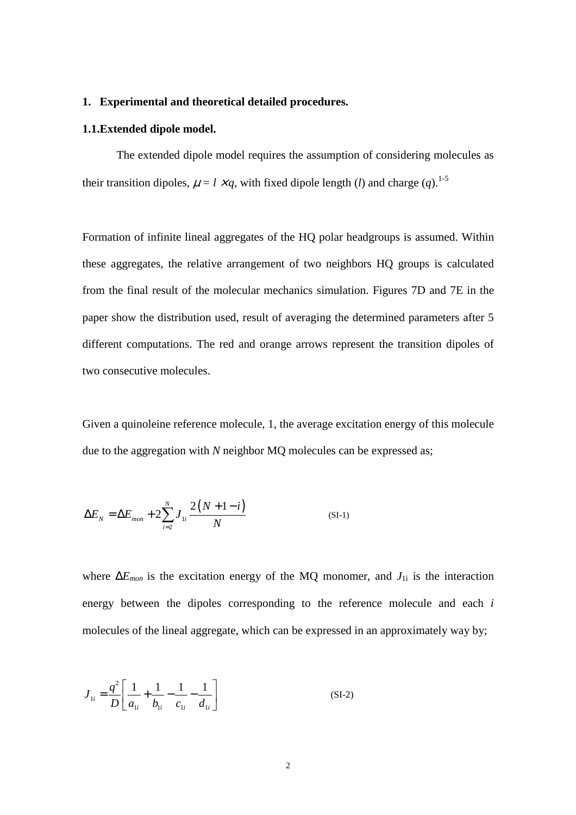#### **1. Experimental and theoretical detailed procedures.**

#### **1.1.Extended dipole model.**

 The extended dipole model requires the assumption of considering molecules as their transition dipoles,  $\mu = l \times q$ , with fixed dipole length (*l*) and charge (*q*).<sup>1-5</sup>

Formation of infinite lineal aggregates of the HQ polar headgroups is assumed. Within these aggregates, the relative arrangement of two neighbors HQ groups is calculated from the final result of the molecular mechanics simulation. Figures 7D and 7E in the paper show the distribution used, result of averaging the determined parameters after 5 different computations. The red and orange arrows represent the transition dipoles of two consecutive molecules.

Given a quinoleine reference molecule, 1, the average excitation energy of this molecule due to the aggregation with *N* neighbor MQ molecules can be expressed as;

$$
\Delta E_N = \Delta E_{mon} + 2 \sum_{i=2}^{N} J_{1i} \frac{2(N+1-i)}{N}
$$
 (SI-1)

where ∆*Emon* is the excitation energy of the MQ monomer, and *J*1i is the interaction energy between the dipoles corresponding to the reference molecule and each *i* molecules of the lineal aggregate, which can be expressed in an approximately way by;

$$
J_{1i} = \frac{q^2}{D} \left[ \frac{1}{a_{1i}} + \frac{1}{b_{1i}} - \frac{1}{c_{1i}} - \frac{1}{d_{1i}} \right]
$$
 (SI-2)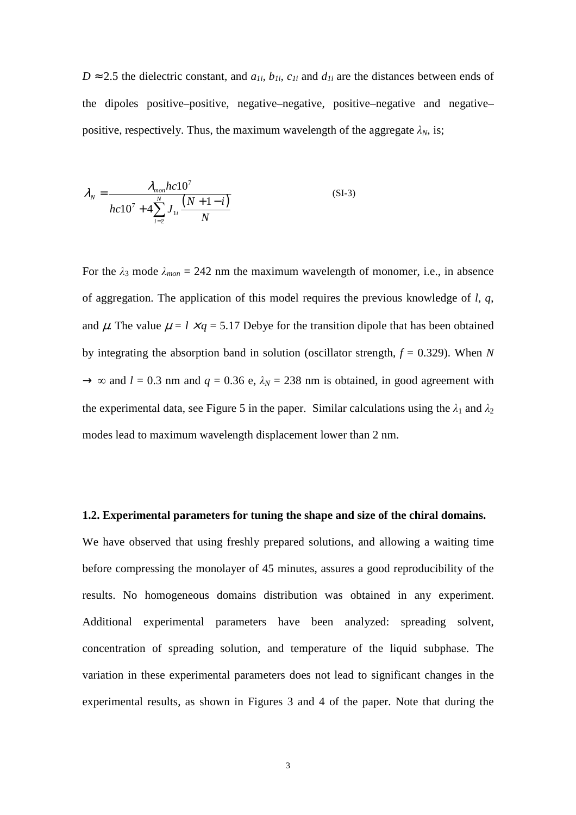$D \approx 2.5$  the dielectric constant, and  $a_{1i}$ ,  $b_{1i}$ ,  $c_{1i}$  and  $d_{1i}$  are the distances between ends of the dipoles positive–positive, negative–negative, positive–negative and negative– positive, respectively. Thus, the maximum wavelength of the aggregate  $\lambda_N$ , is;

$$
\lambda_N = \frac{\lambda_{mon}hc10^7}{hc10^7 + 4\sum_{i=2}^N J_{1i} \frac{(N+1-i)}{N}}
$$
(SI-3)

For the  $\lambda_3$  mode  $\lambda_{mon} = 242$  nm the maximum wavelength of monomer, i.e., in absence of aggregation. The application of this model requires the previous knowledge of *l*, *q*, and  $\mu$ . The value  $\mu = l \times q = 5.17$  Debye for the transition dipole that has been obtained by integrating the absorption band in solution (oscillator strength, *f* = 0.329). When *N*  $\rightarrow \infty$  and *l* = 0.3 nm and *q* = 0.36 e,  $\lambda_N$  = 238 nm is obtained, in good agreement with the experimental data, see Figure 5 in the paper. Similar calculations using the  $\lambda_1$  and  $\lambda_2$ modes lead to maximum wavelength displacement lower than 2 nm.

#### **1.2. Experimental parameters for tuning the shape and size of the chiral domains.**

We have observed that using freshly prepared solutions, and allowing a waiting time before compressing the monolayer of 45 minutes, assures a good reproducibility of the results. No homogeneous domains distribution was obtained in any experiment. Additional experimental parameters have been analyzed: spreading solvent, concentration of spreading solution, and temperature of the liquid subphase. The variation in these experimental parameters does not lead to significant changes in the experimental results, as shown in Figures 3 and 4 of the paper. Note that during the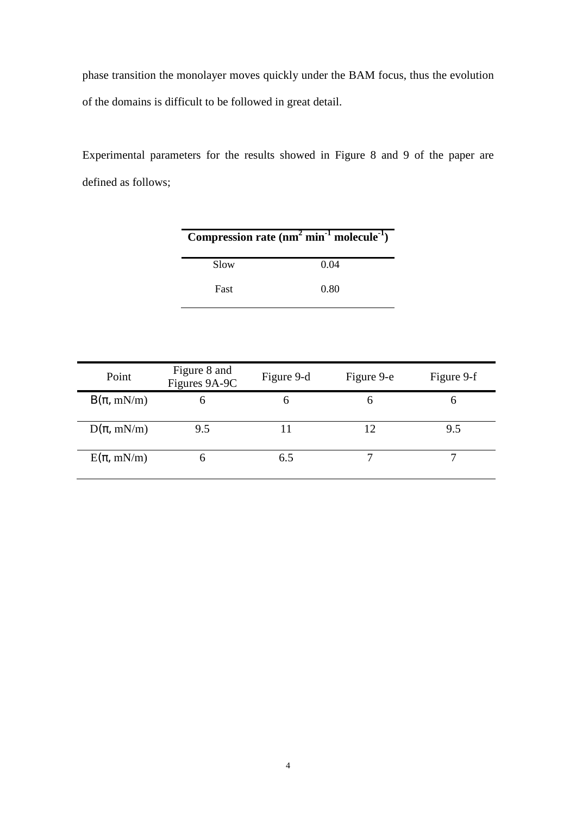phase transition the monolayer moves quickly under the BAM focus, thus the evolution of the domains is difficult to be followed in great detail.

Experimental parameters for the results showed in Figure 8 and 9 of the paper are defined as follows;

| Compression rate $(nm^2 min^{-1} molecule^{-1})$ |      |  |  |  |
|--------------------------------------------------|------|--|--|--|
| Slow                                             | 0.04 |  |  |  |
| Fast                                             | 0.80 |  |  |  |

| Point          | Figure 8 and<br>Figures 9A-9C | Figure 9-d | Figure 9-e | Figure 9-f |
|----------------|-------------------------------|------------|------------|------------|
| $B(\pi, mN/m)$ | h                             |            | h          |            |
| $D(\pi, mN/m)$ | 9.5                           |            | 12         | 9.5        |
| $E(\pi, mN/m)$ | h                             | 6.5        |            |            |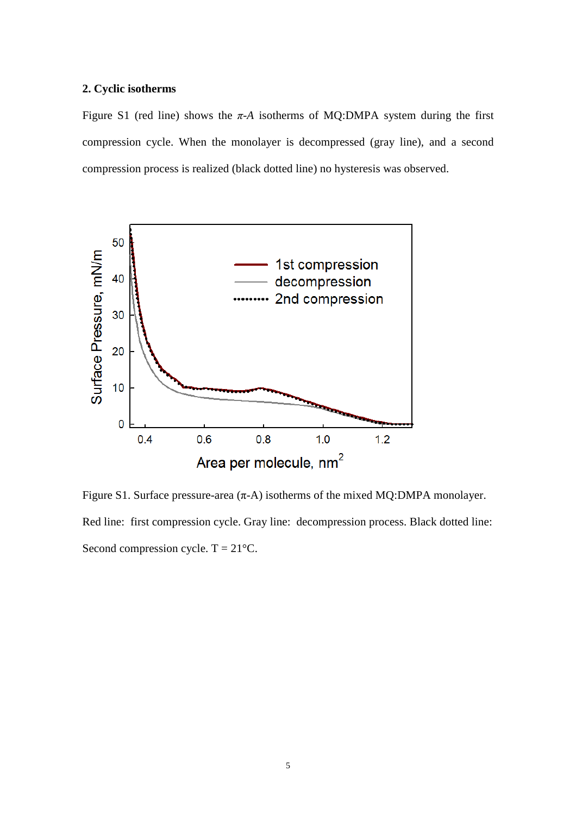#### **2. Cyclic isotherms**

Figure S1 (red line) shows the  $\pi$ -A isotherms of MQ:DMPA system during the first compression cycle. When the monolayer is decompressed (gray line), and a second compression process is realized (black dotted line) no hysteresis was observed.



Figure S1. Surface pressure-area  $(\pi$ -A) isotherms of the mixed MQ:DMPA monolayer. Red line: first compression cycle. Gray line: decompression process. Black dotted line: Second compression cycle.  $T = 21^{\circ}C$ .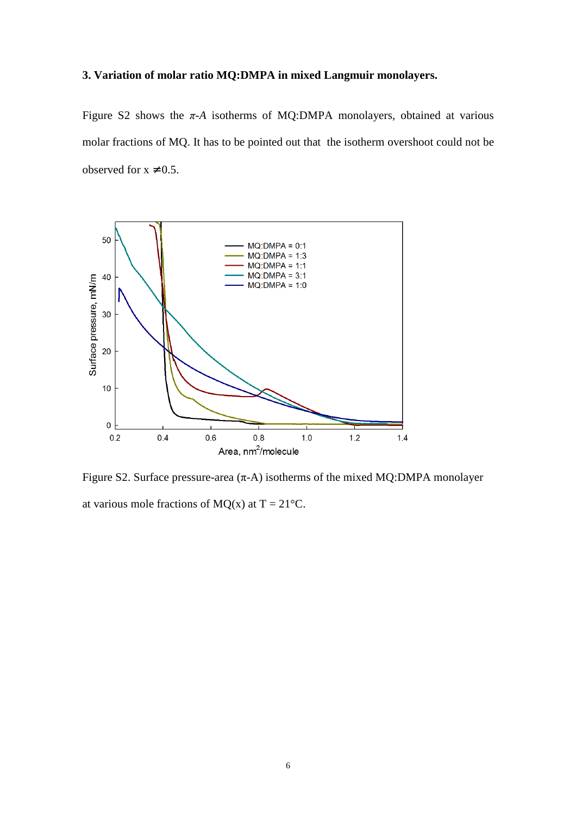### **3. Variation of molar ratio MQ:DMPA in mixed Langmuir monolayers.**

Figure S2 shows the  $\pi$ -A isotherms of MQ:DMPA monolayers, obtained at various molar fractions of MQ. It has to be pointed out that the isotherm overshoot could not be observed for  $x \neq 0.5$ .



Figure S2. Surface pressure-area  $(\pi$ -A) isotherms of the mixed MQ:DMPA monolayer at various mole fractions of MQ(x) at  $T = 21^{\circ}C$ .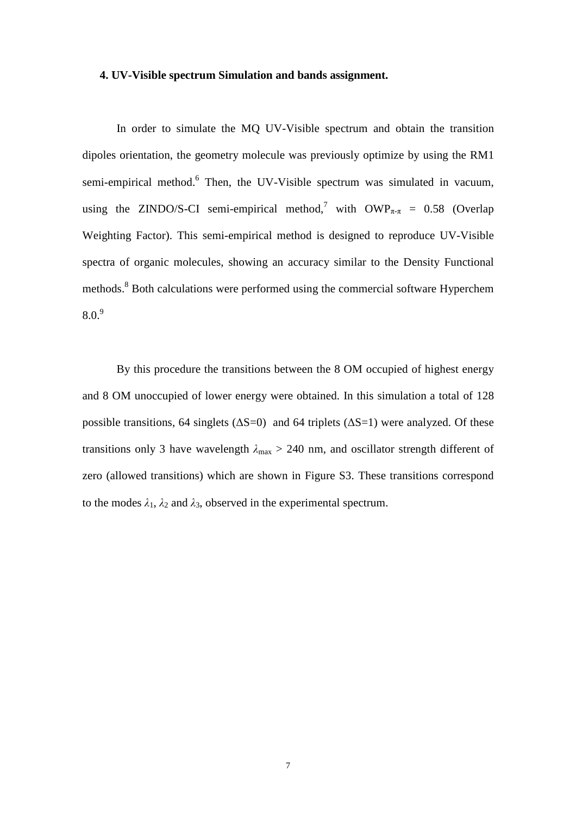#### **4. UV-Visible spectrum Simulation and bands assignment.**

In order to simulate the MQ UV-Visible spectrum and obtain the transition dipoles orientation, the geometry molecule was previously optimize by using the RM1 semi-empirical method.<sup>6</sup> Then, the UV-Visible spectrum was simulated in vacuum, using the ZINDO/S-CI semi-empirical method,<sup>7</sup> with  $\text{OWP}_{\pi-\pi} = 0.58$  (Overlap Weighting Factor). This semi-empirical method is designed to reproduce UV-Visible spectra of organic molecules, showing an accuracy similar to the Density Functional methods.<sup>8</sup> Both calculations were performed using the commercial software Hyperchem  $8.0.<sup>9</sup>$ 

By this procedure the transitions between the 8 OM occupied of highest energy and 8 OM unoccupied of lower energy were obtained. In this simulation a total of 128 possible transitions, 64 singlets ( $\Delta S=0$ ) and 64 triplets ( $\Delta S=1$ ) were analyzed. Of these transitions only 3 have wavelength  $\lambda_{\text{max}} > 240$  nm, and oscillator strength different of zero (allowed transitions) which are shown in Figure S3. These transitions correspond to the modes  $\lambda_1$ ,  $\lambda_2$  and  $\lambda_3$ , observed in the experimental spectrum.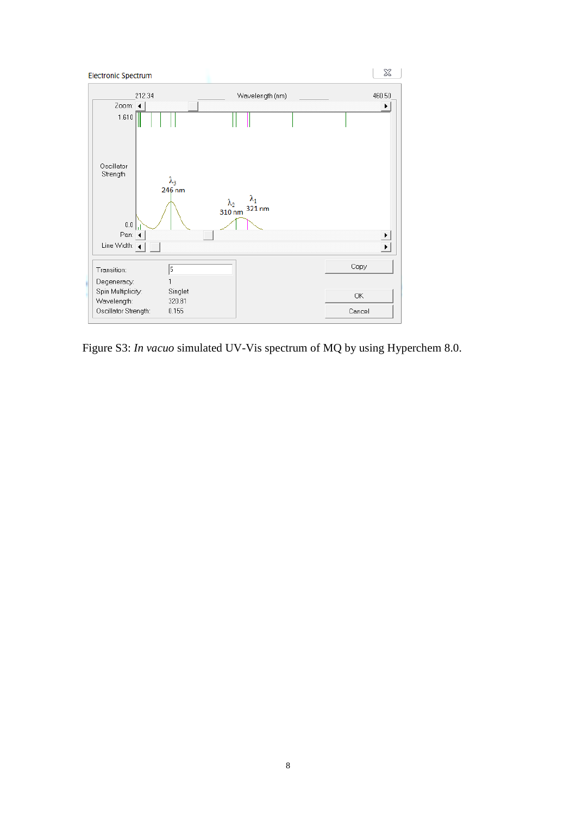

Figure S3: *In vacuo* simulated UV-Vis spectrum of MQ by using Hyperchem 8.0.